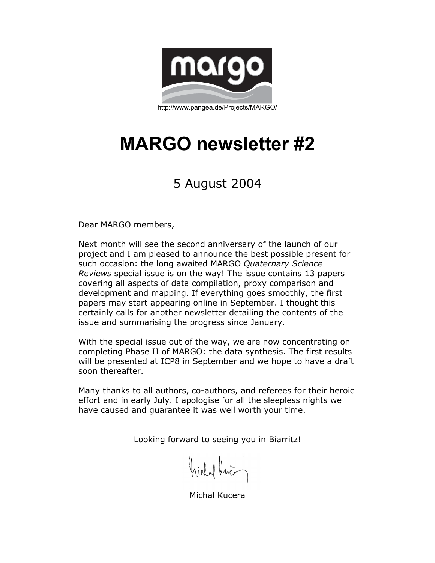

http://www.pangea.de/Projects/MARGO/

# **MARGO newsletter #2**

# 5 August 2004

Dear MARGO members,

Next month will see the second anniversary of the launch of our project and I am pleased to announce the best possible present for such occasion: the long awaited MARGO *Quaternary Science Reviews* special issue is on the way! The issue contains 13 papers covering all aspects of data compilation, proxy comparison and development and mapping. If everything goes smoothly, the first papers may start appearing online in September. I thought this certainly calls for another newsletter detailing the contents of the issue and summarising the progress since January.

With the special issue out of the way, we are now concentrating on completing Phase II of MARGO: the data synthesis. The first results will be presented at ICP8 in September and we hope to have a draft soon thereafter.

Many thanks to all authors, co-authors, and referees for their heroic effort and in early July. I apologise for all the sleepless nights we have caused and guarantee it was well worth your time.

Looking forward to seeing you in Biarritz!

Kirlal Kno

Michal Kucera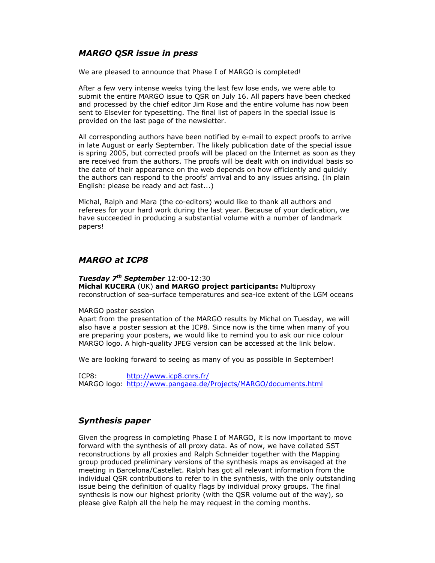# *MARGO QSR issue in press*

We are pleased to announce that Phase I of MARGO is completed!

After a few very intense weeks tying the last few lose ends, we were able to submit the entire MARGO issue to QSR on July 16. All papers have been checked and processed by the chief editor Jim Rose and the entire volume has now been sent to Elsevier for typesetting. The final list of papers in the special issue is provided on the last page of the newsletter.

All corresponding authors have been notified by e-mail to expect proofs to arrive in late August or early September. The likely publication date of the special issue is spring 2005, but corrected proofs will be placed on the Internet as soon as they are received from the authors. The proofs will be dealt with on individual basis so the date of their appearance on the web depends on how efficiently and quickly the authors can respond to the proofs' arrival and to any issues arising. (in plain English: please be ready and act fast...)

Michal, Ralph and Mara (the co-editors) would like to thank all authors and referees for your hard work during the last year. Because of your dedication, we have succeeded in producing a substantial volume with a number of landmark papers!

# *MARGO at ICP8*

*Tuesday 7th September* 12:00-12:30 **Michal KUCERA** (UK) **and MARGO project participants:** Multiproxy reconstruction of sea-surface temperatures and sea-ice extent of the LGM oceans

#### MARGO poster session

Apart from the presentation of the MARGO results by Michal on Tuesday, we will also have a poster session at the ICP8. Since now is the time when many of you are preparing your posters, we would like to remind you to ask our nice colour MARGO logo. A high-quality JPEG version can be accessed at the link below.

We are looking forward to seeing as many of you as possible in September!

ICP8: http://www.icp8.cnrs.fr/ MARGO logo: http://www.pangaea.de/Projects/MARGO/documents.html

## *Synthesis paper*

Given the progress in completing Phase I of MARGO, it is now important to move forward with the synthesis of all proxy data. As of now, we have collated SST reconstructions by all proxies and Ralph Schneider together with the Mapping group produced preliminary versions of the synthesis maps as envisaged at the meeting in Barcelona/Castellet. Ralph has got all relevant information from the individual QSR contributions to refer to in the synthesis, with the only outstanding issue being the definition of quality flags by individual proxy groups. The final synthesis is now our highest priority (with the QSR volume out of the way), so please give Ralph all the help he may request in the coming months.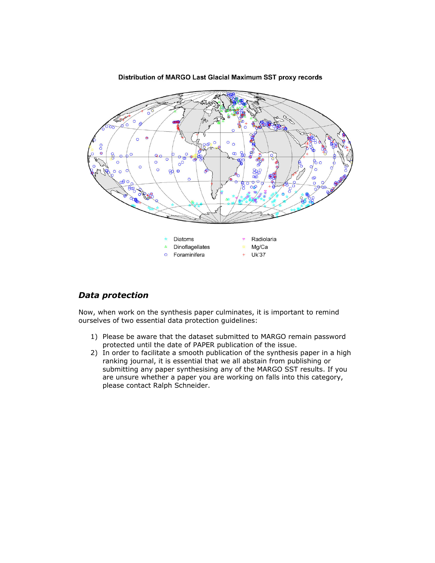

#### Distribution of MARGO Last Glacial Maximum SST proxy records

## *Data protection*

Now, when work on the synthesis paper culminates, it is important to remind ourselves of two essential data protection guidelines:

- 1) Please be aware that the dataset submitted to MARGO remain password protected until the date of PAPER publication of the issue.
- 2) In order to facilitate a smooth publication of the synthesis paper in a high ranking journal, it is essential that we all abstain from publishing or submitting any paper synthesising any of the MARGO SST results. If you are unsure whether a paper you are working on falls into this category, please contact Ralph Schneider.